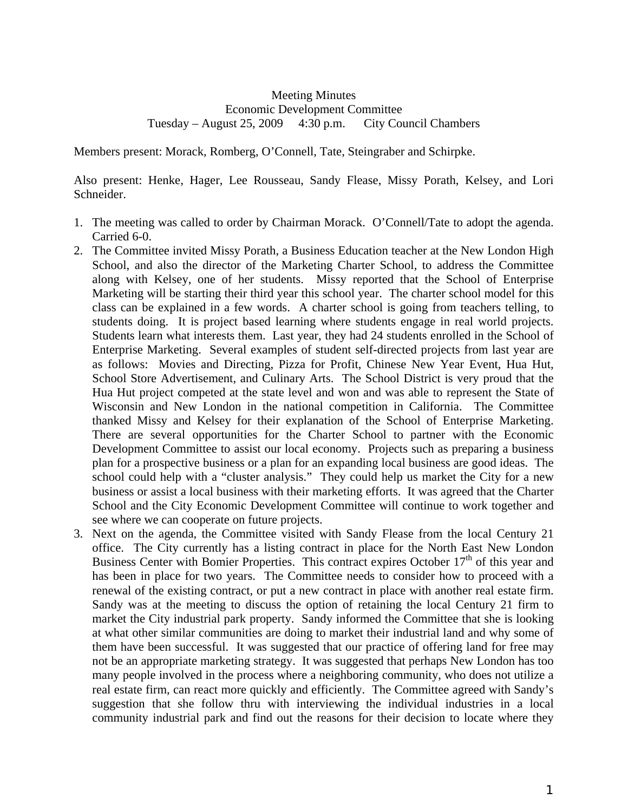## Meeting Minutes Economic Development Committee Tuesday – August 25, 2009 4:30 p.m. City Council Chambers

Members present: Morack, Romberg, O'Connell, Tate, Steingraber and Schirpke.

Also present: Henke, Hager, Lee Rousseau, Sandy Flease, Missy Porath, Kelsey, and Lori Schneider.

- 1. The meeting was called to order by Chairman Morack. O'Connell/Tate to adopt the agenda. Carried 6-0.
- 2. The Committee invited Missy Porath, a Business Education teacher at the New London High School, and also the director of the Marketing Charter School, to address the Committee along with Kelsey, one of her students. Missy reported that the School of Enterprise Marketing will be starting their third year this school year. The charter school model for this class can be explained in a few words. A charter school is going from teachers telling, to students doing. It is project based learning where students engage in real world projects. Students learn what interests them. Last year, they had 24 students enrolled in the School of Enterprise Marketing. Several examples of student self-directed projects from last year are as follows: Movies and Directing, Pizza for Profit, Chinese New Year Event, Hua Hut, School Store Advertisement, and Culinary Arts. The School District is very proud that the Hua Hut project competed at the state level and won and was able to represent the State of Wisconsin and New London in the national competition in California. The Committee thanked Missy and Kelsey for their explanation of the School of Enterprise Marketing. There are several opportunities for the Charter School to partner with the Economic Development Committee to assist our local economy. Projects such as preparing a business plan for a prospective business or a plan for an expanding local business are good ideas. The school could help with a "cluster analysis." They could help us market the City for a new business or assist a local business with their marketing efforts. It was agreed that the Charter School and the City Economic Development Committee will continue to work together and see where we can cooperate on future projects.
- 3. Next on the agenda, the Committee visited with Sandy Flease from the local Century 21 office. The City currently has a listing contract in place for the North East New London Business Center with Bomier Properties. This contract expires October  $17<sup>th</sup>$  of this year and has been in place for two years. The Committee needs to consider how to proceed with a renewal of the existing contract, or put a new contract in place with another real estate firm. Sandy was at the meeting to discuss the option of retaining the local Century 21 firm to market the City industrial park property. Sandy informed the Committee that she is looking at what other similar communities are doing to market their industrial land and why some of them have been successful. It was suggested that our practice of offering land for free may not be an appropriate marketing strategy. It was suggested that perhaps New London has too many people involved in the process where a neighboring community, who does not utilize a real estate firm, can react more quickly and efficiently. The Committee agreed with Sandy's suggestion that she follow thru with interviewing the individual industries in a local community industrial park and find out the reasons for their decision to locate where they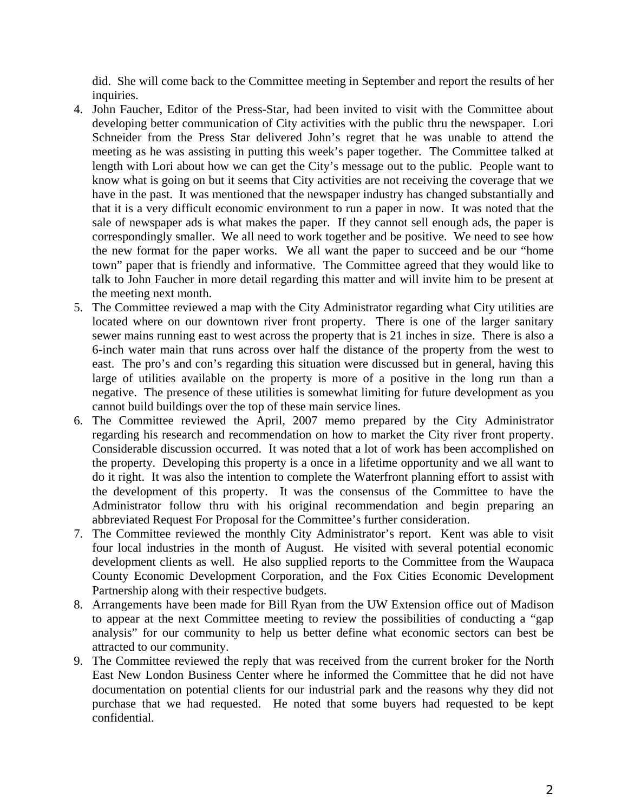did. She will come back to the Committee meeting in September and report the results of her inquiries.

- 4. John Faucher, Editor of the Press-Star, had been invited to visit with the Committee about developing better communication of City activities with the public thru the newspaper. Lori Schneider from the Press Star delivered John's regret that he was unable to attend the meeting as he was assisting in putting this week's paper together. The Committee talked at length with Lori about how we can get the City's message out to the public. People want to know what is going on but it seems that City activities are not receiving the coverage that we have in the past. It was mentioned that the newspaper industry has changed substantially and that it is a very difficult economic environment to run a paper in now. It was noted that the sale of newspaper ads is what makes the paper. If they cannot sell enough ads, the paper is correspondingly smaller. We all need to work together and be positive. We need to see how the new format for the paper works. We all want the paper to succeed and be our "home town" paper that is friendly and informative. The Committee agreed that they would like to talk to John Faucher in more detail regarding this matter and will invite him to be present at the meeting next month.
- 5. The Committee reviewed a map with the City Administrator regarding what City utilities are located where on our downtown river front property. There is one of the larger sanitary sewer mains running east to west across the property that is 21 inches in size. There is also a 6-inch water main that runs across over half the distance of the property from the west to east. The pro's and con's regarding this situation were discussed but in general, having this large of utilities available on the property is more of a positive in the long run than a negative. The presence of these utilities is somewhat limiting for future development as you cannot build buildings over the top of these main service lines.
- 6. The Committee reviewed the April, 2007 memo prepared by the City Administrator regarding his research and recommendation on how to market the City river front property. Considerable discussion occurred. It was noted that a lot of work has been accomplished on the property. Developing this property is a once in a lifetime opportunity and we all want to do it right. It was also the intention to complete the Waterfront planning effort to assist with the development of this property. It was the consensus of the Committee to have the Administrator follow thru with his original recommendation and begin preparing an abbreviated Request For Proposal for the Committee's further consideration.
- 7. The Committee reviewed the monthly City Administrator's report. Kent was able to visit four local industries in the month of August. He visited with several potential economic development clients as well. He also supplied reports to the Committee from the Waupaca County Economic Development Corporation, and the Fox Cities Economic Development Partnership along with their respective budgets.
- 8. Arrangements have been made for Bill Ryan from the UW Extension office out of Madison to appear at the next Committee meeting to review the possibilities of conducting a "gap analysis" for our community to help us better define what economic sectors can best be attracted to our community.
- 9. The Committee reviewed the reply that was received from the current broker for the North East New London Business Center where he informed the Committee that he did not have documentation on potential clients for our industrial park and the reasons why they did not purchase that we had requested. He noted that some buyers had requested to be kept confidential.